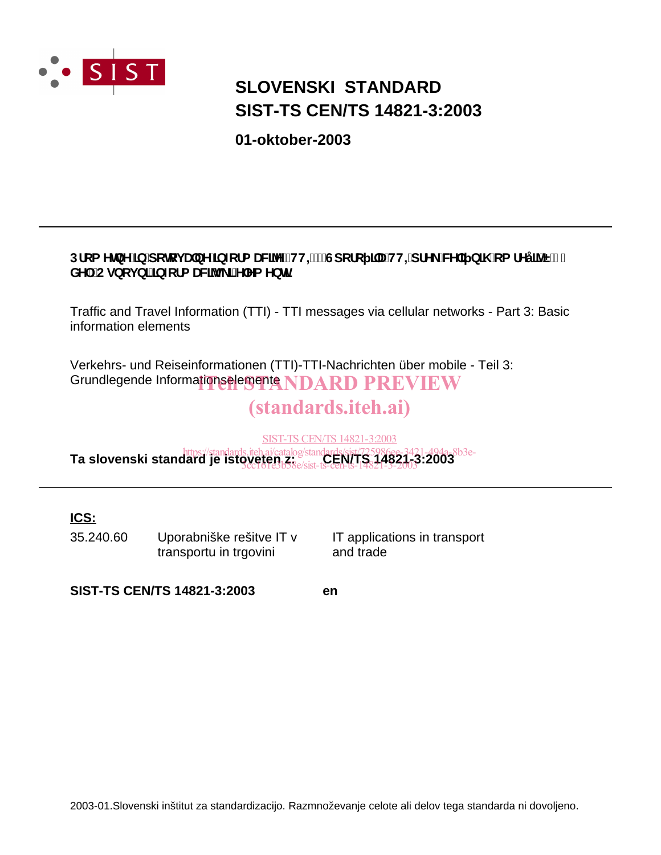

## **SIST-TS CEN/TS 14821-3:2003 SLOVENSKI STANDARD**

**01-oktober-2003**

## Dfca YlbY]b'dclcj UbY]bZtfa UNYYfHHŁ!'Gdcfc ]'U'HH=dfY\_'WY] b]\ 'ca fYÿ]<sup>x'</sup>E'' " XY. Cgbcj b] bzfa UN<sup>n</sup>g J'Y'Ya Ybh

Traffic and Travel Information (TTI) - TTI messages via cellular networks - Part 3: Basic information elements

Verkehrs- und Reiseinformationen (TTI)-TTI-Nachrichten über mobile - Teil 3: Grundlegende Informationselemente NDARD PREVIEW

# (standards.iteh.ai)

SIST-TS CEN/TS 14821-3:2003

https://standards.iteh.ai/catalog/standards/sist/725986ee-3421-494a-8b3e-<br>**Ta slovenski standard je istoveten.z.** *Legist, CEN*/T<sub>1</sub>S, 14821-3:2003 3cc161e3b58e/sist-ts-cen-ts-14821-3-2003

## **ICS:**

35.240.60 Uporabniške rešitve IT v transportu in trgovini

IT applications in transport and trade

**SIST-TS CEN/TS 14821-3:2003 en**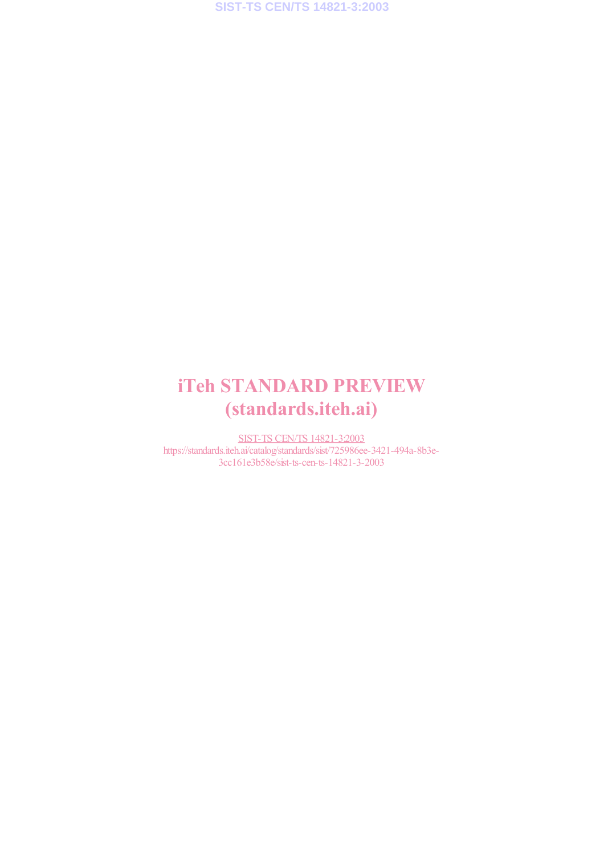# iTeh STANDARD PREVIEW (standards.iteh.ai)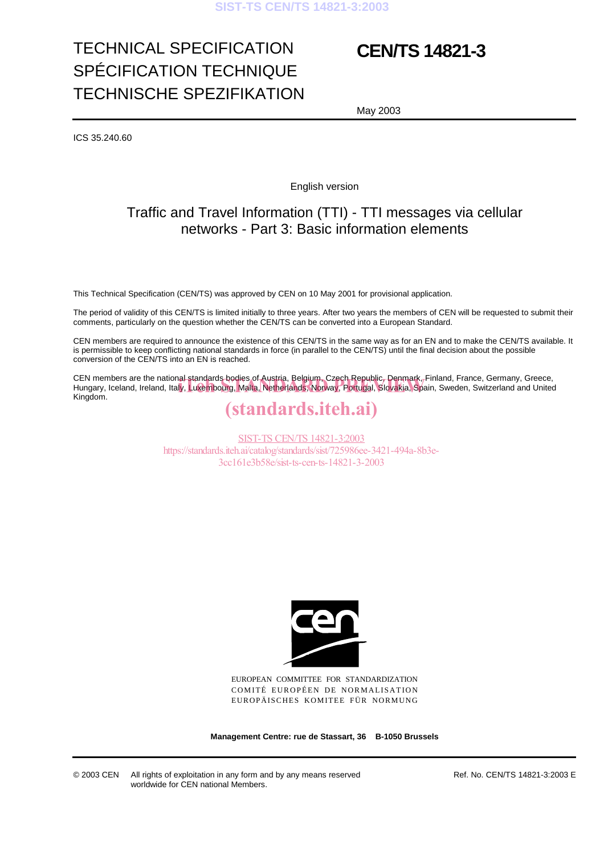## TECHNICAL SPECIFICATION SPÉCIFICATION TECHNIQUE TECHNISCHE SPEZIFIKATION

## **CEN/TS 14821-3**

May 2003

ICS 35.240.60

English version

## Traffic and Travel Information (TTI) - TTI messages via cellular networks - Part 3: Basic information elements

This Technical Specification (CEN/TS) was approved by CEN on 10 May 2001 for provisional application.

The period of validity of this CEN/TS is limited initially to three years. After two years the members of CEN will be requested to submit their comments, particularly on the question whether the CEN/TS can be converted into a European Standard.

CEN members are required to announce the existence of this CEN/TS in the same way as for an EN and to make the CEN/TS available. It is permissible to keep conflicting national standards in force (in parallel to the CEN/TS) until the final decision about the possible conversion of the CEN/TS into an EN is reached.

CEN members are the national standards bodies of Austria, Belgium, Czech Republic, Denmark, Finland, France, Germany, Greece, CEN members are the national-standards-bodies of Austria, Belgium, Czech Republic, Denmark, Finland, France, Germany, Greece,<br>Hungary, Iceland, Ireland, Italy, Luxembourg, Malta, Netherlands, Norway, Portugal, Slovakia, Sp Kingdom.

## (standards.iteh.ai)

SIST-TS CEN/TS 14821-3:2003 https://standards.iteh.ai/catalog/standards/sist/725986ee-3421-494a-8b3e-3cc161e3b58e/sist-ts-cen-ts-14821-3-2003



EUROPEAN COMMITTEE FOR STANDARDIZATION COMITÉ EUROPÉEN DE NORMALISATION EUROPÄISCHES KOMITEE FÜR NORMUNG

**Management Centre: rue de Stassart, 36 B-1050 Brussels**

© 2003 CEN All rights of exploitation in any form and by any means reserved worldwide for CEN national Members.

Ref. No. CEN/TS 14821-3:2003 E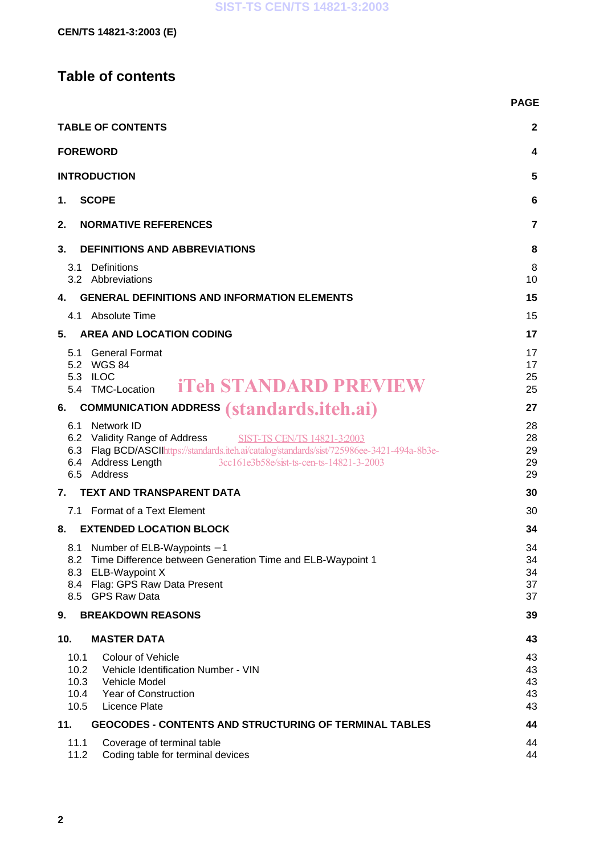## **Table of contents**

|                                      |                                                                                                                                                                                                                                                                       | <b>PAGE</b>                |
|--------------------------------------|-----------------------------------------------------------------------------------------------------------------------------------------------------------------------------------------------------------------------------------------------------------------------|----------------------------|
| <b>TABLE OF CONTENTS</b>             |                                                                                                                                                                                                                                                                       | $\mathbf{2}$               |
|                                      | <b>FOREWORD</b>                                                                                                                                                                                                                                                       | 4                          |
|                                      | <b>INTRODUCTION</b>                                                                                                                                                                                                                                                   | 5                          |
| 1.                                   | <b>SCOPE</b>                                                                                                                                                                                                                                                          | 6                          |
| 2.                                   | <b>NORMATIVE REFERENCES</b>                                                                                                                                                                                                                                           | 7                          |
| 3.                                   | <b>DEFINITIONS AND ABBREVIATIONS</b>                                                                                                                                                                                                                                  | 8                          |
|                                      | 3.1 Definitions<br>3.2 Abbreviations                                                                                                                                                                                                                                  | 8<br>10                    |
| 4.                                   | <b>GENERAL DEFINITIONS AND INFORMATION ELEMENTS</b>                                                                                                                                                                                                                   | 15                         |
|                                      | 4.1 Absolute Time                                                                                                                                                                                                                                                     | 15                         |
|                                      | 5. AREA AND LOCATION CODING                                                                                                                                                                                                                                           | 17                         |
| 5.1                                  | <b>General Format</b><br>5.2 WGS 84<br>5.3 ILOC                                                                                                                                                                                                                       | 17<br>17<br>25             |
|                                      | <b>iTeh STANDARD PREVIEW</b><br>5.4 TMC-Location                                                                                                                                                                                                                      | 25                         |
| 6.                                   | COMMUNICATION ADDRESS (standards.iteh.ai)                                                                                                                                                                                                                             | 27                         |
|                                      | 6.1 Network ID<br>6.2 Validity Range of Address<br><b>SIST-TS CEN/TS 14821-3:2003</b><br>6.3 Flag BCD/ASCIIhttps://standards.iteh.ai/catalog/standards/sist/725986ee-3421-494a-8b3e-<br>6.4 Address Length<br>3cc161e3b58e/sist-ts-cen-ts-14821-3-2003<br>6.5 Address | 28<br>28<br>29<br>29<br>29 |
| 7.                                   | <b>TEXT AND TRANSPARENT DATA</b>                                                                                                                                                                                                                                      | 30                         |
|                                      | 7.1 Format of a Text Element                                                                                                                                                                                                                                          | 30                         |
| 8.                                   | <b>EXTENDED LOCATION BLOCK</b>                                                                                                                                                                                                                                        | 34                         |
|                                      | 8.1 Number of ELB-Waypoints - 1<br>8.2 Time Difference between Generation Time and ELB-Waypoint 1<br>8.3 ELB-Waypoint X<br>8.4 Flag: GPS Raw Data Present<br>8.5 GPS Raw Data                                                                                         | 34<br>34<br>34<br>37<br>37 |
| 9.                                   | <b>BREAKDOWN REASONS</b>                                                                                                                                                                                                                                              | 39                         |
| 10.                                  | <b>MASTER DATA</b>                                                                                                                                                                                                                                                    | 43                         |
| 10.1<br>10.2<br>10.3<br>10.4<br>10.5 | Colour of Vehicle<br>Vehicle Identification Number - VIN<br>Vehicle Model<br><b>Year of Construction</b><br>Licence Plate                                                                                                                                             | 43<br>43<br>43<br>43<br>43 |
| 11.                                  | <b>GEOCODES - CONTENTS AND STRUCTURING OF TERMINAL TABLES</b>                                                                                                                                                                                                         | 44                         |
| 11.1<br>11.2                         | Coverage of terminal table<br>Coding table for terminal devices                                                                                                                                                                                                       | 44<br>44                   |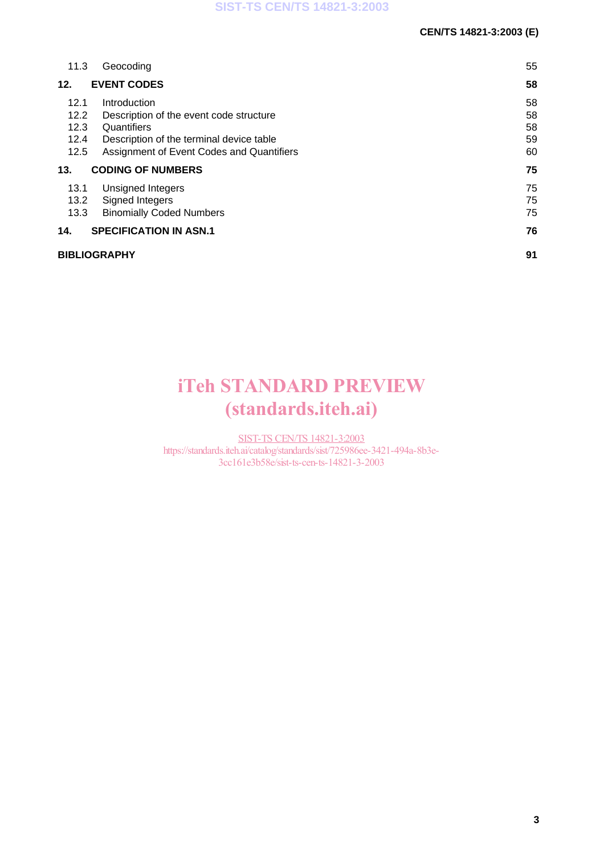| 11.3                                 | Geocoding                                                                                                                                                       | 55                         |
|--------------------------------------|-----------------------------------------------------------------------------------------------------------------------------------------------------------------|----------------------------|
| 12.                                  | <b>EVENT CODES</b>                                                                                                                                              | 58                         |
| 12.1<br>12.2<br>12.3<br>12.4<br>12.5 | Introduction<br>Description of the event code structure<br>Quantifiers<br>Description of the terminal device table<br>Assignment of Event Codes and Quantifiers | 58<br>58<br>58<br>59<br>60 |
| 13.                                  | <b>CODING OF NUMBERS</b>                                                                                                                                        | 75                         |
| 13.1<br>13.2<br>13.3                 | <b>Unsigned Integers</b><br>Signed Integers<br><b>Binomially Coded Numbers</b>                                                                                  | 75<br>75<br>75             |
| 14.                                  | <b>SPECIFICATION IN ASN.1</b>                                                                                                                                   | 76                         |
| <b>BIBLIOGRAPHY</b>                  |                                                                                                                                                                 |                            |

# iTeh STANDARD PREVIEW (standards.iteh.ai)

SIST-TS CEN/TS 14821-3:2003

https://standards.iteh.ai/catalog/standards/sist/725986ee-3421-494a-8b3e-3cc161e3b58e/sist-ts-cen-ts-14821-3-2003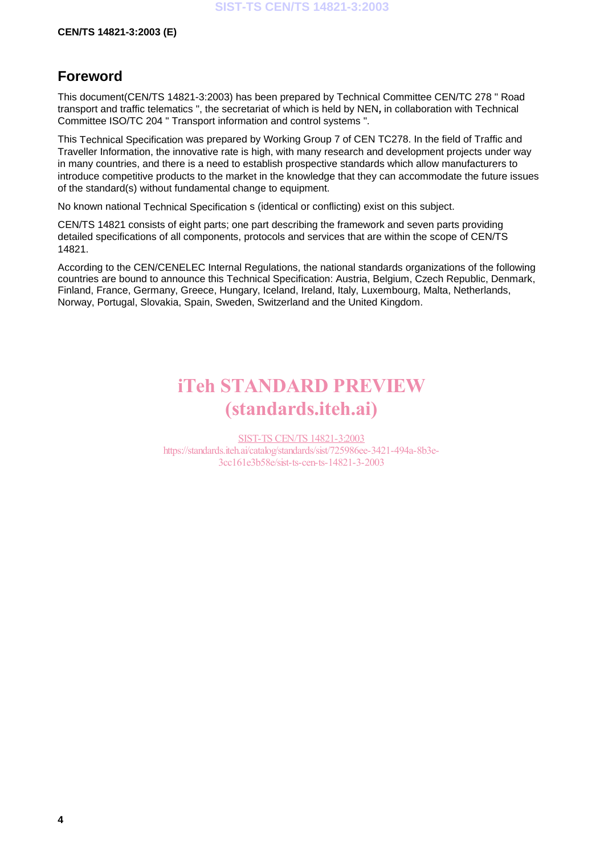**SIST-TS CEN/TS 14821-3:2003**

### **Foreword**

This document(CEN/TS 14821-3:2003) has been prepared by Technical Committee CEN/TC 278 " Road transport and traffic telematics ", the secretariat of which is held by NEN**,** in collaboration with Technical Committee ISO/TC 204 " Transport information and control systems ".

This Technical Specification was prepared by Working Group 7 of CEN TC278. In the field of Traffic and Traveller Information, the innovative rate is high, with many research and development projects under way in many countries, and there is a need to establish prospective standards which allow manufacturers to introduce competitive products to the market in the knowledge that they can accommodate the future issues of the standard(s) without fundamental change to equipment.

No known national Technical Specification s (identical or conflicting) exist on this subject.

CEN/TS 14821 consists of eight parts; one part describing the framework and seven parts providing detailed specifications of all components, protocols and services that are within the scope of CEN/TS 14821.

According to the CEN/CENELEC Internal Regulations, the national standards organizations of the following countries are bound to announce this Technical Specification: Austria, Belgium, Czech Republic, Denmark, Finland, France, Germany, Greece, Hungary, Iceland, Ireland, Italy, Luxembourg, Malta, Netherlands, Norway, Portugal, Slovakia, Spain, Sweden, Switzerland and the United Kingdom.

# iTeh STANDARD PREVIEW (standards.iteh.ai)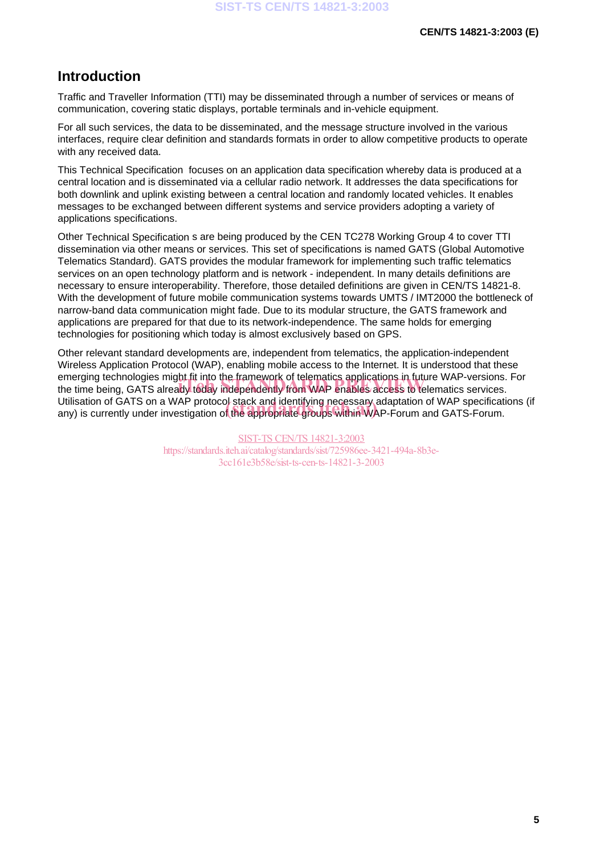## **Introduction**

Traffic and Traveller Information (TTI) may be disseminated through a number of services or means of communication, covering static displays, portable terminals and in-vehicle equipment.

For all such services, the data to be disseminated, and the message structure involved in the various interfaces, require clear definition and standards formats in order to allow competitive products to operate with any received data.

This Technical Specification focuses on an application data specification whereby data is produced at a central location and is disseminated via a cellular radio network. It addresses the data specifications for both downlink and uplink existing between a central location and randomly located vehicles. It enables messages to be exchanged between different systems and service providers adopting a variety of applications specifications.

Other Technical Specification s are being produced by the CEN TC278 Working Group 4 to cover TTI dissemination via other means or services. This set of specifications is named GATS (Global Automotive Telematics Standard). GATS provides the modular framework for implementing such traffic telematics services on an open technology platform and is network - independent. In many details definitions are necessary to ensure interoperability. Therefore, those detailed definitions are given in CEN/TS 14821-8. With the development of future mobile communication systems towards UMTS / IMT2000 the bottleneck of narrow-band data communication might fade. Due to its modular structure, the GATS framework and applications are prepared for that due to its network-independence. The same holds for emerging technologies for positioning which today is almost exclusively based on GPS.

Other relevant standard developments are, independent from telematics, the application-independent Wireless Application Protocol (WAP), enabling mobile access to the Internet. It is understood that these emerging technologies might fit into the framework of telematics applications in future WAP-versions. For emerging technologies might it into the tramework of telematics applications in future wAP-versions.<br>the time being, GATS already today independently from WAP enables access to telematics services. Utilisation of GATS on a WAP protocol stack and identifying necessary adaptation of WAP specifications (if Utilisation of GATS on a WAP protocol stack and identifying necessary adaptation of WAP specificat<br>any) is currently under investigation of the appropriate groups within WAP-Forum and GATS-Forum.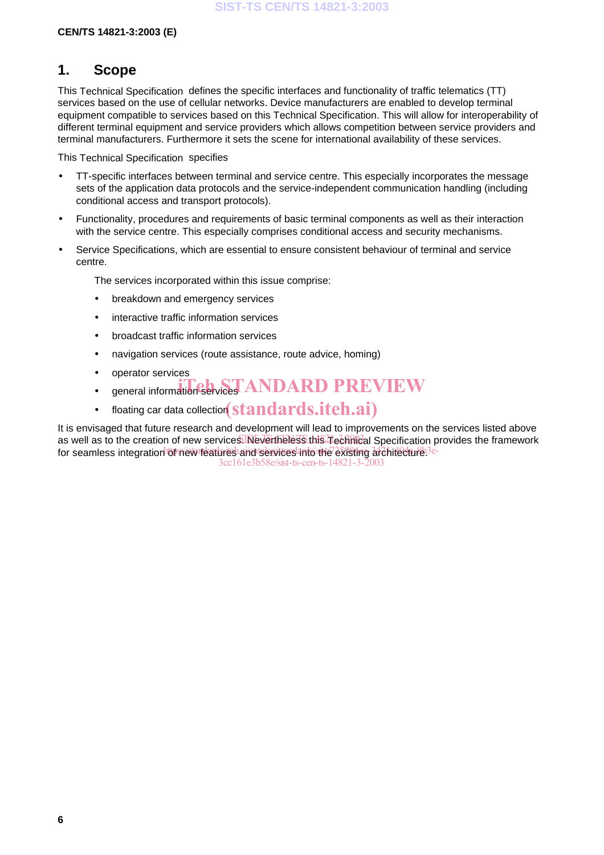### **1. Scope**

This Technical Specification defines the specific interfaces and functionality of traffic telematics (TT) services based on the use of cellular networks. Device manufacturers are enabled to develop terminal equipment compatible to services based on this Technical Specification. This will allow for interoperability of different terminal equipment and service providers which allows competition between service providers and terminal manufacturers. Furthermore it sets the scene for international availability of these services.

This Technical Specification specifies

- TT-specific interfaces between terminal and service centre. This especially incorporates the message sets of the application data protocols and the service-independent communication handling (including conditional access and transport protocols).
- Functionality, procedures and requirements of basic terminal components as well as their interaction with the service centre. This especially comprises conditional access and security mechanisms.
- Service Specifications, which are essential to ensure consistent behaviour of terminal and service centre.

The services incorporated within this issue comprise:

- breakdown and emergency services
- interactive traffic information services
- broadcast traffic information services
- navigation services (route assistance, route advice, homing)
- operator services
- general information services ANDARD PREVIEW
- floating car data collection $(\bf standard s.itch. ai)$

It is envisaged that future research and development will lead to improvements on the services listed above as well as to the creation of new services. Nevertheless this Technical Specification provides the framework for seamless integration bin new features and services into the existing architecture.3e-3cc161e3b58e/sist-ts-cen-ts-14821-3-2003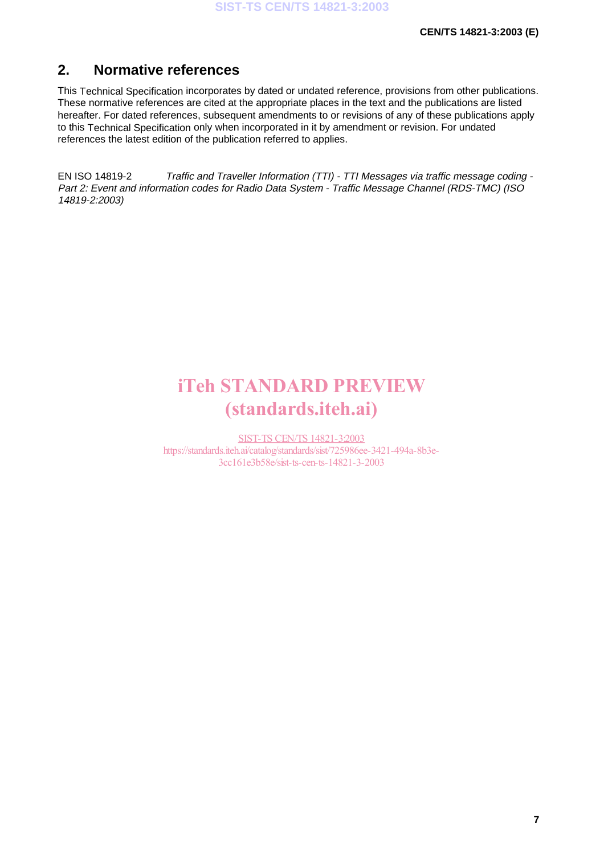## **2. Normative references**

This Technical Specification incorporates by dated or undated reference, provisions from other publications. These normative references are cited at the appropriate places in the text and the publications are listed hereafter. For dated references, subsequent amendments to or revisions of any of these publications apply to this Technical Specification only when incorporated in it by amendment or revision. For undated references the latest edition of the publication referred to applies.

EN ISO 14819-2 Traffic and Traveller Information (TTI) - TTI Messages via traffic message coding - Part 2: Event and information codes for Radio Data System - Traffic Message Channel (RDS-TMC) (ISO 14819-2:2003)

# iTeh STANDARD PREVIEW (standards.iteh.ai)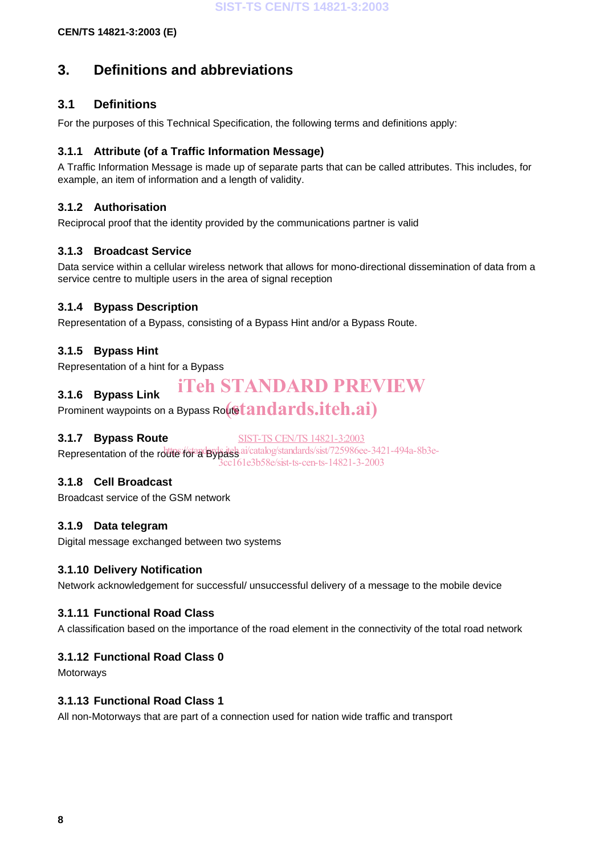## **3. Definitions and abbreviations**

#### **3.1 Definitions**

For the purposes of this Technical Specification, the following terms and definitions apply:

#### **3.1.1 Attribute (of a Traffic Information Message)**

A Traffic Information Message is made up of separate parts that can be called attributes. This includes, for example, an item of information and a length of validity.

#### **3.1.2 Authorisation**

Reciprocal proof that the identity provided by the communications partner is valid

#### **3.1.3 Broadcast Service**

Data service within a cellular wireless network that allows for mono-directional dissemination of data from a service centre to multiple users in the area of signal reception

#### **3.1.4 Bypass Description**

Representation of a Bypass, consisting of a Bypass Hint and/or a Bypass Route.

#### **3.1.5 Bypass Hint**

**3.1.6 Bypass Link**

Representation of a hint for a Bypass

## iTeh STANDARD PREVIEW

Prominent waypoints on a Bypass Ro $($ 6 $tands.iteh.ai)$ 

#### **3.1.7 Bypass Route**

Representation of the rollie for a Bypage ai/catalog/standards/sist/725986ee-3421-494a-8b3e-SIST-TS CEN/TS 14821-3:2003

## 3cc161e3b58e/sist-ts-cen-ts-14821-3-2003

#### **3.1.8 Cell Broadcast**

Broadcast service of the GSM network

#### **3.1.9 Data telegram**

Digital message exchanged between two systems

#### **3.1.10 Delivery Notification**

Network acknowledgement for successful/ unsuccessful delivery of a message to the mobile device

#### **3.1.11 Functional Road Class**

A classification based on the importance of the road element in the connectivity of the total road network

#### **3.1.12 Functional Road Class 0**

**Motorways** 

#### **3.1.13 Functional Road Class 1**

All non-Motorways that are part of a connection used for nation wide traffic and transport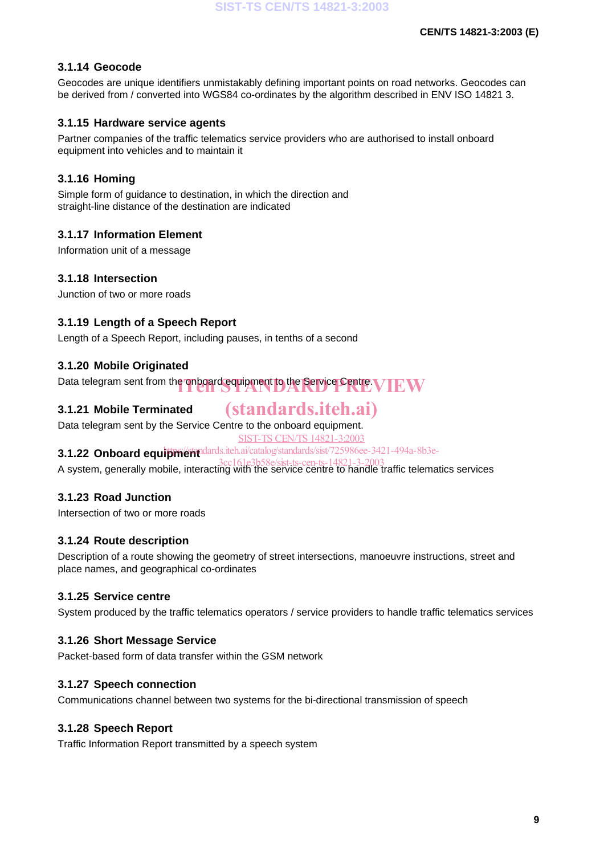#### **3.1.14 Geocode**

Geocodes are unique identifiers unmistakably defining important points on road networks. Geocodes can be derived from / converted into WGS84 co-ordinates by the algorithm described in ENV ISO 14821 3.

#### **3.1.15 Hardware service agents**

Partner companies of the traffic telematics service providers who are authorised to install onboard equipment into vehicles and to maintain it

#### **3.1.16 Homing**

Simple form of guidance to destination, in which the direction and straight-line distance of the destination are indicated

#### **3.1.17 Information Element**

Information unit of a message

#### **3.1.18 Intersection**

Junction of two or more roads

#### **3.1.19 Length of a Speech Report**

Length of a Speech Report, including pauses, in tenths of a second

#### **3.1.20 Mobile Originated**

Data telegram sent from the onboard equipment to the Service Centre.  $\bf{V}\bf{EW}$ 

#### **3.1.21 Mobile Terminated**

## (standards.iteh.ai)

Data telegram sent by the Service Centre to the onboard equipment. SIST-TS CEN/TS 14821-3:2003

## **3.1.22 Onboard equipment** dards.iteh.ai/catalog/standards/sist/725986ee-3421-494a-8b3e-

A system, generally mobile, interacting with the service centre to handle traffic telematics services 3cc161e3b58e/sist-ts-cen-ts-14821-3-2003

#### **3.1.23 Road Junction**

Intersection of two or more roads

#### **3.1.24 Route description**

Description of a route showing the geometry of street intersections, manoeuvre instructions, street and place names, and geographical co-ordinates

#### **3.1.25 Service centre**

System produced by the traffic telematics operators / service providers to handle traffic telematics services

#### **3.1.26 Short Message Service**

Packet-based form of data transfer within the GSM network

#### **3.1.27 Speech connection**

Communications channel between two systems for the bi-directional transmission of speech

#### **3.1.28 Speech Report**

Traffic Information Report transmitted by a speech system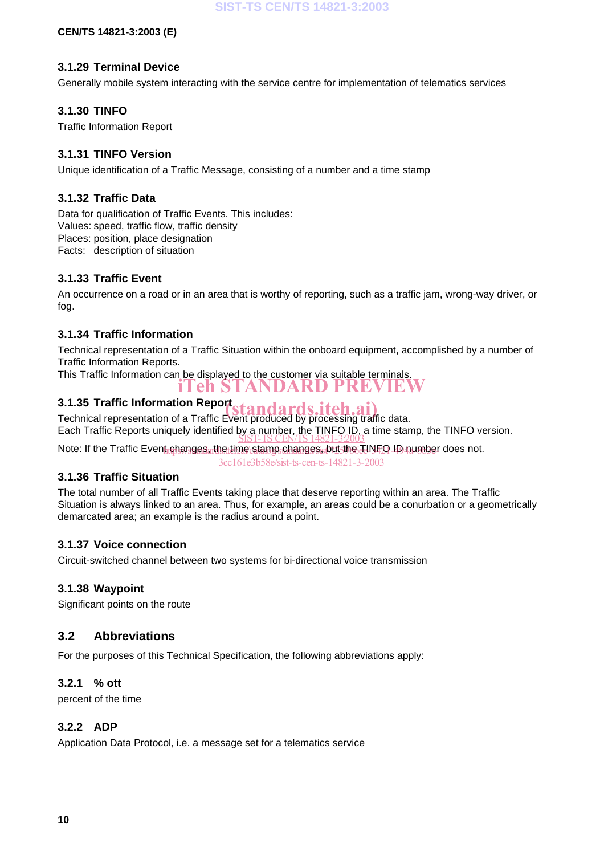**SIST-TS CEN/TS 14821-3:2003**

**CEN/TS 14821-3:2003 (E)**

#### **3.1.29 Terminal Device**

Generally mobile system interacting with the service centre for implementation of telematics services

#### **3.1.30 TINFO**

Traffic Information Report

#### **3.1.31 TINFO Version**

Unique identification of a Traffic Message, consisting of a number and a time stamp

#### **3.1.32 Traffic Data**

Data for qualification of Traffic Events. This includes: Values: speed, traffic flow, traffic density Places: position, place designation Facts: description of situation

#### **3.1.33 Traffic Event**

An occurrence on a road or in an area that is worthy of reporting, such as a traffic jam, wrong-way driver, or fog.

#### **3.1.34 Traffic Information**

Technical representation of a Traffic Situation within the onboard equipment, accomplished by a number of Traffic Information Reports.

This Traffic Information can be displayed to the customer via suitable terminals. iTeh STANDARD PREVIEW

#### **3.1.35 Traffic Information Report**

Technical representation of a Traffic Event produced by processing traffic data. Each Traffic Reports uniquely identified by a number, the TINFO ID, a time stamp, the TINFO version.<br>SIST-TS CEN/TS 14821-3:2003 ttandards.iteh.ai)

Note: If the Traffic Event changes, the time stamp changes, but the TINFO ID number does not.

3cc161e3b58e/sist-ts-cen-ts-14821-3-2003

#### **3.1.36 Traffic Situation**

The total number of all Traffic Events taking place that deserve reporting within an area. The Traffic Situation is always linked to an area. Thus, for example, an areas could be a conurbation or a geometrically demarcated area; an example is the radius around a point.

#### **3.1.37 Voice connection**

Circuit-switched channel between two systems for bi-directional voice transmission

#### **3.1.38 Waypoint**

Significant points on the route

#### **3.2 Abbreviations**

For the purposes of this Technical Specification, the following abbreviations apply:

#### **3.2.1 % ott**

percent of the time

#### **3.2.2 ADP**

Application Data Protocol, i.e. a message set for a telematics service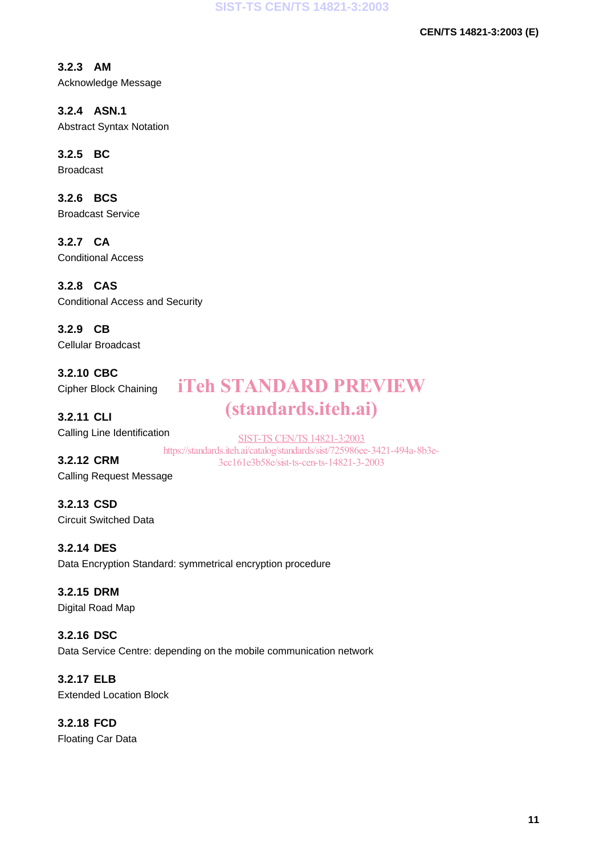**3.2.3 AM** Acknowledge Message

**3.2.4 ASN.1** Abstract Syntax Notation

### **3.2.5 BC**

Broadcast

**3.2.6 BCS**

Broadcast Service

**3.2.7 CA** Conditional Access

**3.2.8 CAS** Conditional Access and Security

**3.2.9 CB** Cellular Broadcast

**3.2.10 CBC** Cipher Block Chaining

### **3.2.11 CLI** Calling Line Identification

SIST-TS CEN/TS 14821-3:2003 https://standards.iteh.ai/catalog/standards/sist/725986ee-3421-494a-8b3e-3cc161e3b58e/sist-ts-cen-ts-14821-3-2003

iTeh STANDARD PREVIEW

(standards.iteh.ai)

**3.2.12 CRM** Calling Request Message

**3.2.13 CSD** Circuit Switched Data

**3.2.14 DES** Data Encryption Standard: symmetrical encryption procedure

## **3.2.15 DRM**

Digital Road Map

**3.2.16 DSC** Data Service Centre: depending on the mobile communication network

**3.2.17 ELB** Extended Location Block

**3.2.18 FCD** Floating Car Data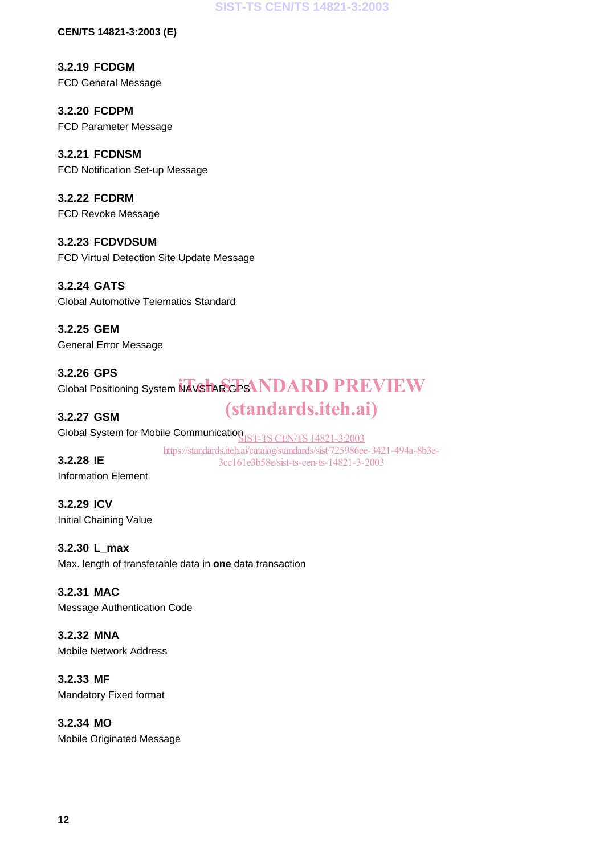#### **SIST-TS CEN/TS 14821-3:2003**

**CEN/TS 14821-3:2003 (E)**

**3.2.19 FCDGM** FCD General Message

**3.2.20 FCDPM** FCD Parameter Message

**3.2.21 FCDNSM** FCD Notification Set-up Message

**3.2.22 FCDRM** FCD Revoke Message

**3.2.23 FCDVDSUM** FCD Virtual Detection Site Update Message

**3.2.24 GATS** Global Automotive Telematics Standard

**3.2.25 GEM** General Error Message

**3.2.26 GPS** Global Positioning System NAVSTARGPS NDARD PREVIEW

#### **3.2.27 GSM**

# (standards.iteh.ai)

Global System for Mobile Communication SIST-TS CEN/TS 14821-3:2003

https://standards.iteh.ai/catalog/standards/sist/725986ee-3421-494a-8b3e-3cc161e3b58e/sist-ts-cen-ts-14821-3-2003

**3.2.28 IE** Information Element

**3.2.29 ICV** Initial Chaining Value

**3.2.30 L\_max** Max. length of transferable data in **one** data transaction

**3.2.31 MAC** Message Authentication Code

**3.2.32 MNA** Mobile Network Address

**3.2.33 MF** Mandatory Fixed format

**3.2.34 MO** Mobile Originated Message